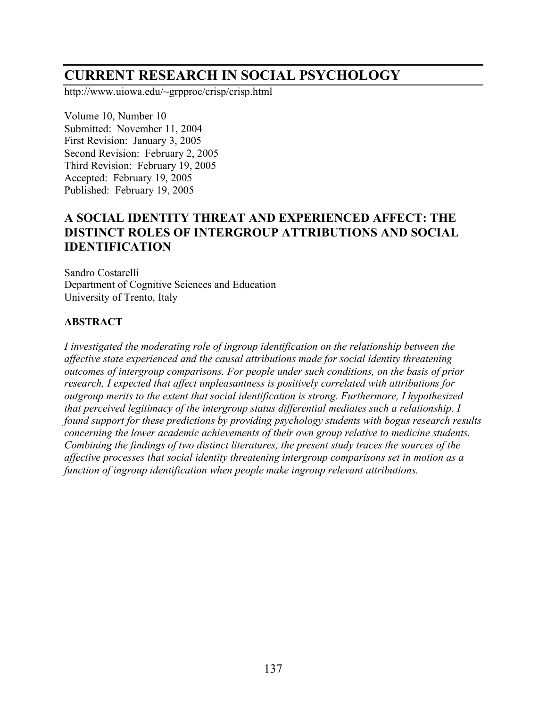# **CURRENT RESEARCH IN SOCIAL PSYCHOLOGY**

http://www.uiowa.edu/~grpproc/crisp/crisp.html

Volume 10, Number 10 Submitted: November 11, 2004 First Revision: January 3, 2005 Second Revision: February 2, 2005 Third Revision: February 19, 2005 Accepted: February 19, 2005 Published: February 19, 2005

# **A SOCIAL IDENTITY THREAT AND EXPERIENCED AFFECT: THE DISTINCT ROLES OF INTERGROUP ATTRIBUTIONS AND SOCIAL IDENTIFICATION**

Sandro Costarelli Department of Cognitive Sciences and Education University of Trento, Italy

#### **ABSTRACT**

*I investigated the moderating role of ingroup identification on the relationship between the affective state experienced and the causal attributions made for social identity threatening outcomes of intergroup comparisons. For people under such conditions, on the basis of prior research, I expected that affect unpleasantness is positively correlated with attributions for outgroup merits to the extent that social identification is strong. Furthermore, I hypothesized that perceived legitimacy of the intergroup status differential mediates such a relationship. I found support for these predictions by providing psychology students with bogus research results concerning the lower academic achievements of their own group relative to medicine students. Combining the findings of two distinct literatures, the present study traces the sources of the affective processes that social identity threatening intergroup comparisons set in motion as a function of ingroup identification when people make ingroup relevant attributions.*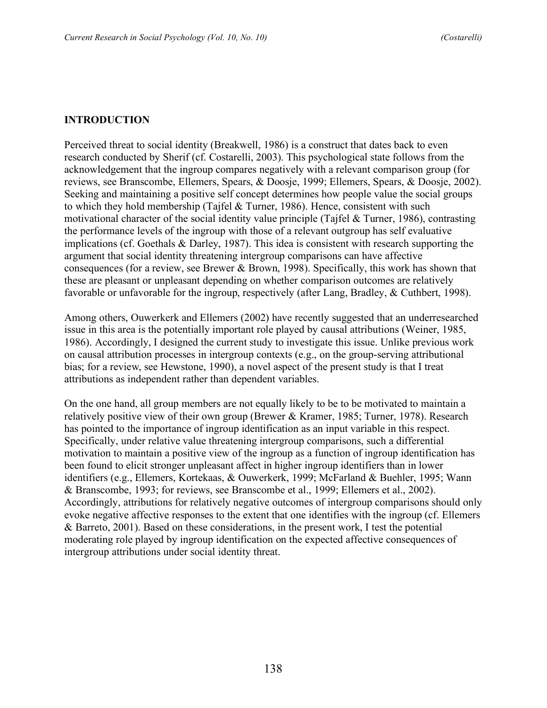#### **INTRODUCTION**

Perceived threat to social identity (Breakwell, 1986) is a construct that dates back to even research conducted by Sherif (cf. Costarelli, 2003). This psychological state follows from the acknowledgement that the ingroup compares negatively with a relevant comparison group (for reviews, see Branscombe, Ellemers, Spears, & Doosje, 1999; Ellemers, Spears, & Doosje, 2002). Seeking and maintaining a positive self concept determines how people value the social groups to which they hold membership (Tajfel & Turner, 1986). Hence, consistent with such motivational character of the social identity value principle (Tajfel & Turner, 1986), contrasting the performance levels of the ingroup with those of a relevant outgroup has self evaluative implications (cf. Goethals & Darley, 1987). This idea is consistent with research supporting the argument that social identity threatening intergroup comparisons can have affective consequences (for a review, see Brewer & Brown, 1998). Specifically, this work has shown that these are pleasant or unpleasant depending on whether comparison outcomes are relatively favorable or unfavorable for the ingroup, respectively (after Lang, Bradley, & Cuthbert, 1998).

Among others, Ouwerkerk and Ellemers (2002) have recently suggested that an underresearched issue in this area is the potentially important role played by causal attributions (Weiner, 1985, 1986). Accordingly, I designed the current study to investigate this issue. Unlike previous work on causal attribution processes in intergroup contexts (e.g., on the group-serving attributional bias; for a review, see Hewstone, 1990), a novel aspect of the present study is that I treat attributions as independent rather than dependent variables.

On the one hand, all group members are not equally likely to be to be motivated to maintain a relatively positive view of their own group (Brewer & Kramer, 1985; Turner, 1978). Research has pointed to the importance of ingroup identification as an input variable in this respect. Specifically, under relative value threatening intergroup comparisons, such a differential motivation to maintain a positive view of the ingroup as a function of ingroup identification has been found to elicit stronger unpleasant affect in higher ingroup identifiers than in lower identifiers (e.g., Ellemers, Kortekaas, & Ouwerkerk, 1999; McFarland & Buehler, 1995; Wann & Branscombe, 1993; for reviews, see Branscombe et al., 1999; Ellemers et al., 2002). Accordingly, attributions for relatively negative outcomes of intergroup comparisons should only evoke negative affective responses to the extent that one identifies with the ingroup (cf. Ellemers & Barreto, 2001). Based on these considerations, in the present work, I test the potential moderating role played by ingroup identification on the expected affective consequences of intergroup attributions under social identity threat.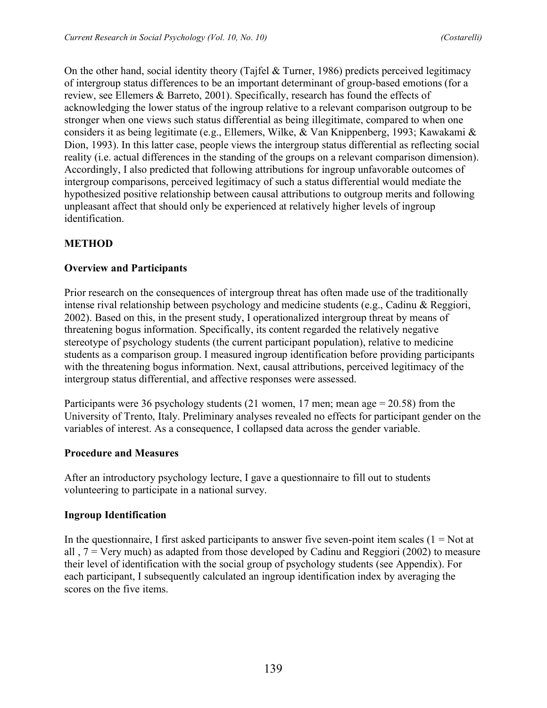On the other hand, social identity theory (Tajfel & Turner, 1986) predicts perceived legitimacy of intergroup status differences to be an important determinant of group-based emotions (for a review, see Ellemers & Barreto, 2001). Specifically, research has found the effects of acknowledging the lower status of the ingroup relative to a relevant comparison outgroup to be stronger when one views such status differential as being illegitimate, compared to when one considers it as being legitimate (e.g., Ellemers, Wilke, & Van Knippenberg, 1993; Kawakami & Dion, 1993). In this latter case, people views the intergroup status differential as reflecting social reality (i.e. actual differences in the standing of the groups on a relevant comparison dimension). Accordingly, I also predicted that following attributions for ingroup unfavorable outcomes of intergroup comparisons, perceived legitimacy of such a status differential would mediate the hypothesized positive relationship between causal attributions to outgroup merits and following unpleasant affect that should only be experienced at relatively higher levels of ingroup identification.

## **METHOD**

#### **Overview and Participants**

Prior research on the consequences of intergroup threat has often made use of the traditionally intense rival relationship between psychology and medicine students (e.g., Cadinu & Reggiori, 2002). Based on this, in the present study, I operationalized intergroup threat by means of threatening bogus information. Specifically, its content regarded the relatively negative stereotype of psychology students (the current participant population), relative to medicine students as a comparison group. I measured ingroup identification before providing participants with the threatening bogus information. Next, causal attributions, perceived legitimacy of the intergroup status differential, and affective responses were assessed.

Participants were 36 psychology students (21 women, 17 men; mean age  $= 20.58$ ) from the University of Trento, Italy. Preliminary analyses revealed no effects for participant gender on the variables of interest. As a consequence, I collapsed data across the gender variable.

#### **Procedure and Measures**

After an introductory psychology lecture, I gave a questionnaire to fill out to students volunteering to participate in a national survey.

#### **Ingroup Identification**

In the questionnaire, I first asked participants to answer five seven-point item scales  $(1 = Not at$ all ,  $7 = \text{Very much}$  as adapted from those developed by Cadinu and Reggiori (2002) to measure their level of identification with the social group of psychology students (see Appendix). For each participant, I subsequently calculated an ingroup identification index by averaging the scores on the five items.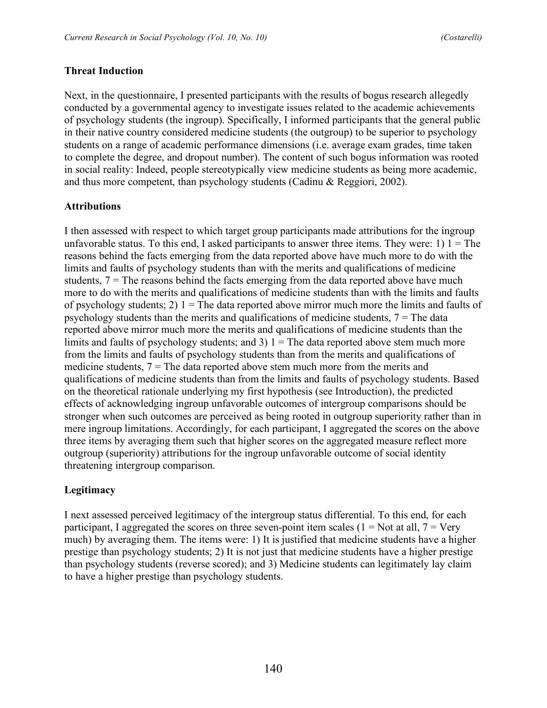#### **Threat Induction**

Next, in the questionnaire, I presented participants with the results of bogus research allegedly conducted by a governmental agency to investigate issues related to the academic achievements of psychology students (the ingroup). Specifically, I informed participants that the general public in their native country considered medicine students (the outgroup) to be superior to psychology students on a range of academic performance dimensions (i.e. average exam grades, time taken to complete the degree, and dropout number). The content of such bogus information was rooted in social reality: Indeed, people stereotypically view medicine students as being more academic, and thus more competent, than psychology students (Cadinu & Reggiori, 2002).

#### **Attributions**

I then assessed with respect to which target group participants made attributions for the ingroup unfavorable status. To this end, I asked participants to answer three items. They were: 1)  $1 =$ The reasons behind the facts emerging from the data reported above have much more to do with the limits and faults of psychology students than with the merits and qualifications of medicine students,  $7 =$ The reasons behind the facts emerging from the data reported above have much more to do with the merits and qualifications of medicine students than with the limits and faults of psychology students; 2)  $1 =$  The data reported above mirror much more the limits and faults of psychology students than the merits and qualifications of medicine students,  $7 =$ The data reported above mirror much more the merits and qualifications of medicine students than the limits and faults of psychology students; and 3)  $1 =$  The data reported above stem much more from the limits and faults of psychology students than from the merits and qualifications of medicine students,  $7 =$ The data reported above stem much more from the merits and qualifications of medicine students than from the limits and faults of psychology students. Based on the theoretical rationale underlying my first hypothesis (see Introduction), the predicted effects of acknowledging ingroup unfavorable outcomes of intergroup comparisons should be stronger when such outcomes are perceived as being rooted in outgroup superiority rather than in mere ingroup limitations. Accordingly, for each participant, I aggregated the scores on the above three items by averaging them such that higher scores on the aggregated measure reflect more outgroup (superiority) attributions for the ingroup unfavorable outcome of social identity threatening intergroup comparison.

#### **Legitimacy**

I next assessed perceived legitimacy of the intergroup status differential. To this end, for each participant, I aggregated the scores on three seven-point item scales (1 = Not at all,  $7 = \text{Verv}$ ) much) by averaging them. The items were: 1) It is justified that medicine students have a higher prestige than psychology students; 2) It is not just that medicine students have a higher prestige than psychology students (reverse scored); and 3) Medicine students can legitimately lay claim to have a higher prestige than psychology students.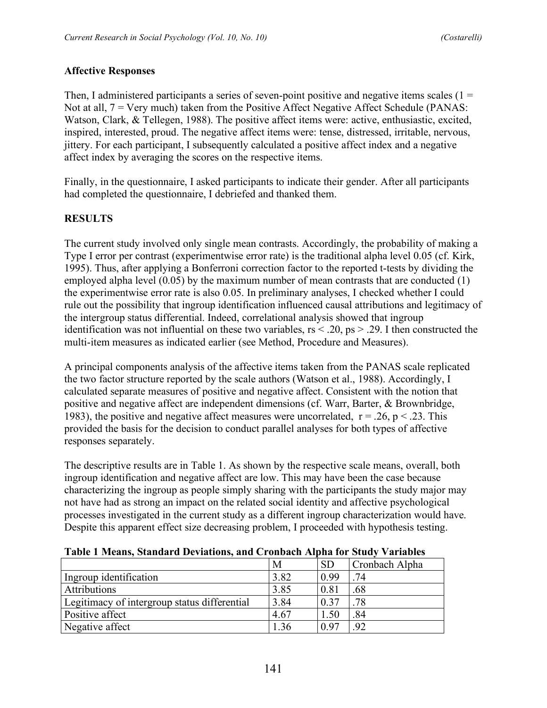## **Affective Responses**

Then, I administered participants a series of seven-point positive and negative items scales  $(1 =$ Not at all, 7 = Very much) taken from the Positive Affect Negative Affect Schedule (PANAS: Watson, Clark, & Tellegen, 1988). The positive affect items were: active, enthusiastic, excited, inspired, interested, proud. The negative affect items were: tense, distressed, irritable, nervous, jittery. For each participant, I subsequently calculated a positive affect index and a negative affect index by averaging the scores on the respective items.

Finally, in the questionnaire, I asked participants to indicate their gender. After all participants had completed the questionnaire, I debriefed and thanked them.

# **RESULTS**

The current study involved only single mean contrasts. Accordingly, the probability of making a Type I error per contrast (experimentwise error rate) is the traditional alpha level 0.05 (cf. Kirk, 1995). Thus, after applying a Bonferroni correction factor to the reported t-tests by dividing the employed alpha level (0.05) by the maximum number of mean contrasts that are conducted (1) the experimentwise error rate is also 0.05. In preliminary analyses, I checked whether I could rule out the possibility that ingroup identification influenced causal attributions and legitimacy of the intergroup status differential. Indeed, correlational analysis showed that ingroup identification was not influential on these two variables,  $rs < 0.20$ ,  $ps > 0.29$ . I then constructed the multi-item measures as indicated earlier (see Method, Procedure and Measures).

A principal components analysis of the affective items taken from the PANAS scale replicated the two factor structure reported by the scale authors (Watson et al., 1988). Accordingly, I calculated separate measures of positive and negative affect. Consistent with the notion that positive and negative affect are independent dimensions (cf. Warr, Barter, & Brownbridge, 1983), the positive and negative affect measures were uncorrelated,  $r = .26$ ,  $p < .23$ . This provided the basis for the decision to conduct parallel analyses for both types of affective responses separately.

The descriptive results are in Table 1. As shown by the respective scale means, overall, both ingroup identification and negative affect are low. This may have been the case because characterizing the ingroup as people simply sharing with the participants the study major may not have had as strong an impact on the related social identity and affective psychological processes investigated in the current study as a different ingroup characterization would have. Despite this apparent effect size decreasing problem, I proceeded with hypothesis testing.

|                                              | M    | <b>SD</b> | Cronbach Alpha |
|----------------------------------------------|------|-----------|----------------|
| Ingroup identification                       | 3.82 | 0.99      | .74            |
| <b>Attributions</b>                          | 3.85 | 0.81      | .68            |
| Legitimacy of intergroup status differential | 3.84 | 0.37      | .78            |
| Positive affect                              | 4.67 | 1.50      | .84            |
| Negative affect                              | 1.36 | 0.97      | 92             |

**Table 1 Means, Standard Deviations, and Cronbach Alpha for Study Variables**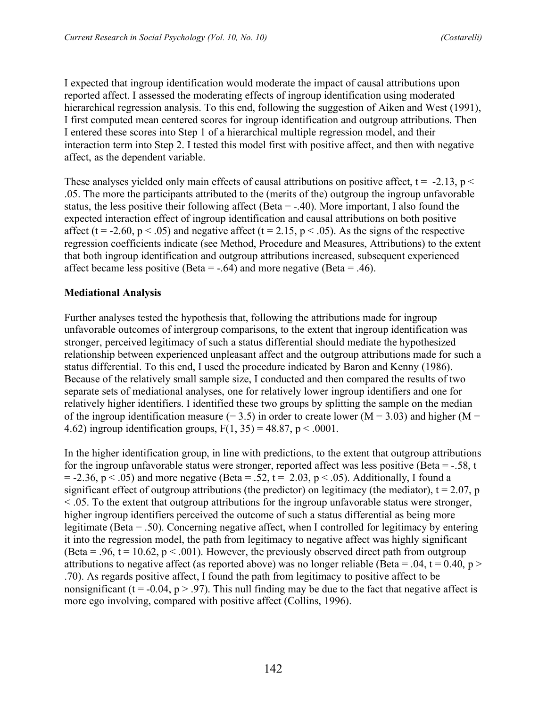I expected that ingroup identification would moderate the impact of causal attributions upon reported affect. I assessed the moderating effects of ingroup identification using moderated hierarchical regression analysis. To this end, following the suggestion of Aiken and West (1991), I first computed mean centered scores for ingroup identification and outgroup attributions. Then I entered these scores into Step 1 of a hierarchical multiple regression model, and their interaction term into Step 2. I tested this model first with positive affect, and then with negative affect, as the dependent variable.

These analyses yielded only main effects of causal attributions on positive affect,  $t = -2.13$ ,  $p <$ .05. The more the participants attributed to the (merits of the) outgroup the ingroup unfavorable status, the less positive their following affect (Beta = -.40). More important, I also found the expected interaction effect of ingroup identification and causal attributions on both positive affect (t = -2.60, p < .05) and negative affect (t = 2.15, p < .05). As the signs of the respective regression coefficients indicate (see Method, Procedure and Measures, Attributions) to the extent that both ingroup identification and outgroup attributions increased, subsequent experienced affect became less positive (Beta =  $-.64$ ) and more negative (Beta =  $.46$ ).

## **Mediational Analysis**

Further analyses tested the hypothesis that, following the attributions made for ingroup unfavorable outcomes of intergroup comparisons, to the extent that ingroup identification was stronger, perceived legitimacy of such a status differential should mediate the hypothesized relationship between experienced unpleasant affect and the outgroup attributions made for such a status differential. To this end, I used the procedure indicated by Baron and Kenny (1986). Because of the relatively small sample size, I conducted and then compared the results of two separate sets of mediational analyses, one for relatively lower ingroup identifiers and one for relatively higher identifiers. I identified these two groups by splitting the sample on the median of the ingroup identification measure  $(= 3.5)$  in order to create lower  $(M = 3.03)$  and higher  $(M = 1.5)$ 4.62) ingroup identification groups,  $F(1, 35) = 48.87$ ,  $p < .0001$ .

In the higher identification group, in line with predictions, to the extent that outgroup attributions for the ingroup unfavorable status were stronger, reported affect was less positive (Beta  $=$  -.58, t  $= -2.36$ ,  $p < .05$ ) and more negative (Beta = .52, t = 2.03, p < .05). Additionally, I found a significant effect of outgroup attributions (the predictor) on legitimacy (the mediator),  $t = 2.07$ , p  $\leq$  0.05. To the extent that outgroup attributions for the ingroup unfavorable status were stronger, higher ingroup identifiers perceived the outcome of such a status differential as being more legitimate (Beta = .50). Concerning negative affect, when I controlled for legitimacy by entering it into the regression model, the path from legitimacy to negative affect was highly significant (Beta = .96,  $t = 10.62$ ,  $p < .001$ ). However, the previously observed direct path from outgroup attributions to negative affect (as reported above) was no longer reliable (Beta = .04, t = 0.40, p > .70). As regards positive affect, I found the path from legitimacy to positive affect to be nonsignificant (t = -0.04, p > .97). This null finding may be due to the fact that negative affect is more ego involving, compared with positive affect (Collins, 1996).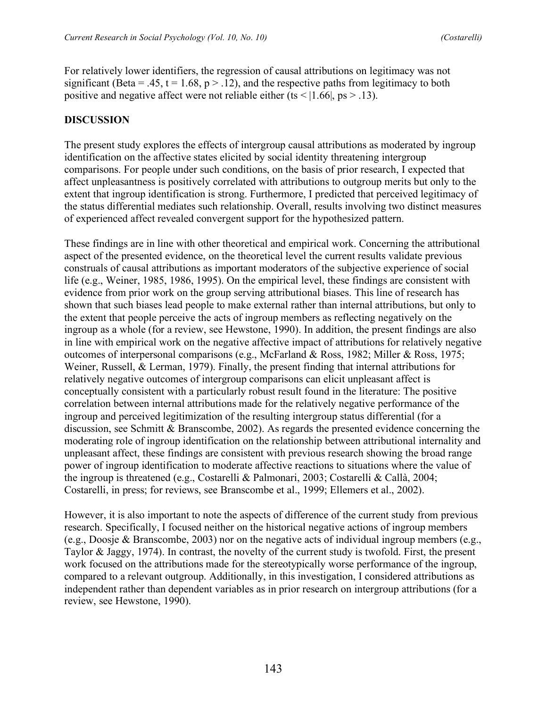For relatively lower identifiers, the regression of causal attributions on legitimacy was not significant (Beta = .45, t = 1.68,  $p > 0.12$ ), and the respective paths from legitimacy to both positive and negative affect were not reliable either (ts < | $1.66$ |, ps > .13).

## **DISCUSSION**

The present study explores the effects of intergroup causal attributions as moderated by ingroup identification on the affective states elicited by social identity threatening intergroup comparisons. For people under such conditions, on the basis of prior research, I expected that affect unpleasantness is positively correlated with attributions to outgroup merits but only to the extent that ingroup identification is strong. Furthermore, I predicted that perceived legitimacy of the status differential mediates such relationship. Overall, results involving two distinct measures of experienced affect revealed convergent support for the hypothesized pattern.

These findings are in line with other theoretical and empirical work. Concerning the attributional aspect of the presented evidence, on the theoretical level the current results validate previous construals of causal attributions as important moderators of the subjective experience of social life (e.g., Weiner, 1985, 1986, 1995). On the empirical level, these findings are consistent with evidence from prior work on the group serving attributional biases. This line of research has shown that such biases lead people to make external rather than internal attributions, but only to the extent that people perceive the acts of ingroup members as reflecting negatively on the ingroup as a whole (for a review, see Hewstone, 1990). In addition, the present findings are also in line with empirical work on the negative affective impact of attributions for relatively negative outcomes of interpersonal comparisons (e.g., McFarland & Ross, 1982; Miller & Ross, 1975; Weiner, Russell, & Lerman, 1979). Finally, the present finding that internal attributions for relatively negative outcomes of intergroup comparisons can elicit unpleasant affect is conceptually consistent with a particularly robust result found in the literature: The positive correlation between internal attributions made for the relatively negative performance of the ingroup and perceived legitimization of the resulting intergroup status differential (for a discussion, see Schmitt & Branscombe, 2002). As regards the presented evidence concerning the moderating role of ingroup identification on the relationship between attributional internality and unpleasant affect, these findings are consistent with previous research showing the broad range power of ingroup identification to moderate affective reactions to situations where the value of the ingroup is threatened (e.g., Costarelli & Palmonari, 2003; Costarelli & Callà, 2004; Costarelli, in press; for reviews, see Branscombe et al., 1999; Ellemers et al., 2002).

However, it is also important to note the aspects of difference of the current study from previous research. Specifically, I focused neither on the historical negative actions of ingroup members (e.g., Doosje & Branscombe, 2003) nor on the negative acts of individual ingroup members (e.g., Taylor & Jaggy, 1974). In contrast, the novelty of the current study is twofold. First, the present work focused on the attributions made for the stereotypically worse performance of the ingroup, compared to a relevant outgroup. Additionally, in this investigation, I considered attributions as independent rather than dependent variables as in prior research on intergroup attributions (for a review, see Hewstone, 1990).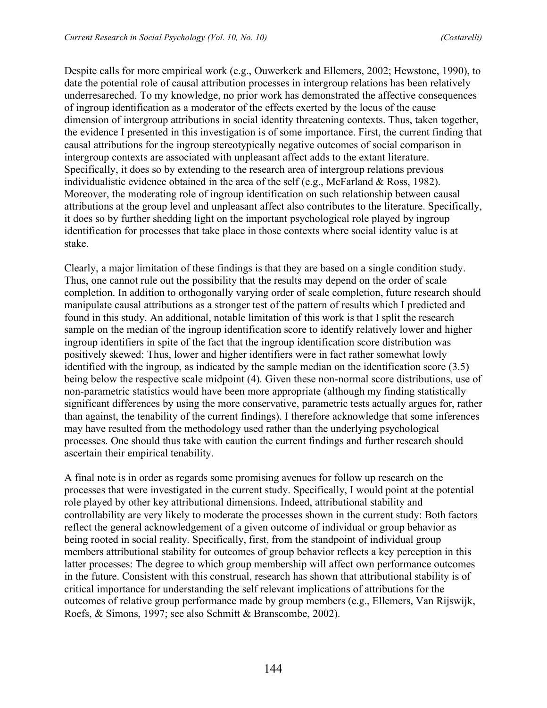Despite calls for more empirical work (e.g., Ouwerkerk and Ellemers, 2002; Hewstone, 1990), to date the potential role of causal attribution processes in intergroup relations has been relatively underresareched. To my knowledge, no prior work has demonstrated the affective consequences of ingroup identification as a moderator of the effects exerted by the locus of the cause dimension of intergroup attributions in social identity threatening contexts. Thus, taken together, the evidence I presented in this investigation is of some importance. First, the current finding that causal attributions for the ingroup stereotypically negative outcomes of social comparison in intergroup contexts are associated with unpleasant affect adds to the extant literature. Specifically, it does so by extending to the research area of intergroup relations previous individualistic evidence obtained in the area of the self (e.g., McFarland & Ross, 1982). Moreover, the moderating role of ingroup identification on such relationship between causal attributions at the group level and unpleasant affect also contributes to the literature. Specifically, it does so by further shedding light on the important psychological role played by ingroup identification for processes that take place in those contexts where social identity value is at stake.

Clearly, a major limitation of these findings is that they are based on a single condition study. Thus, one cannot rule out the possibility that the results may depend on the order of scale completion. In addition to orthogonally varying order of scale completion, future research should manipulate causal attributions as a stronger test of the pattern of results which I predicted and found in this study. An additional, notable limitation of this work is that I split the research sample on the median of the ingroup identification score to identify relatively lower and higher ingroup identifiers in spite of the fact that the ingroup identification score distribution was positively skewed: Thus, lower and higher identifiers were in fact rather somewhat lowly identified with the ingroup, as indicated by the sample median on the identification score (3.5) being below the respective scale midpoint (4). Given these non-normal score distributions, use of non-parametric statistics would have been more appropriate (although my finding statistically significant differences by using the more conservative, parametric tests actually argues for, rather than against, the tenability of the current findings). I therefore acknowledge that some inferences may have resulted from the methodology used rather than the underlying psychological processes. One should thus take with caution the current findings and further research should ascertain their empirical tenability.

A final note is in order as regards some promising avenues for follow up research on the processes that were investigated in the current study. Specifically, I would point at the potential role played by other key attributional dimensions. Indeed, attributional stability and controllability are very likely to moderate the processes shown in the current study: Both factors reflect the general acknowledgement of a given outcome of individual or group behavior as being rooted in social reality. Specifically, first, from the standpoint of individual group members attributional stability for outcomes of group behavior reflects a key perception in this latter processes: The degree to which group membership will affect own performance outcomes in the future. Consistent with this construal, research has shown that attributional stability is of critical importance for understanding the self relevant implications of attributions for the outcomes of relative group performance made by group members (e.g., Ellemers, Van Rijswijk, Roefs, & Simons, 1997; see also Schmitt & Branscombe, 2002).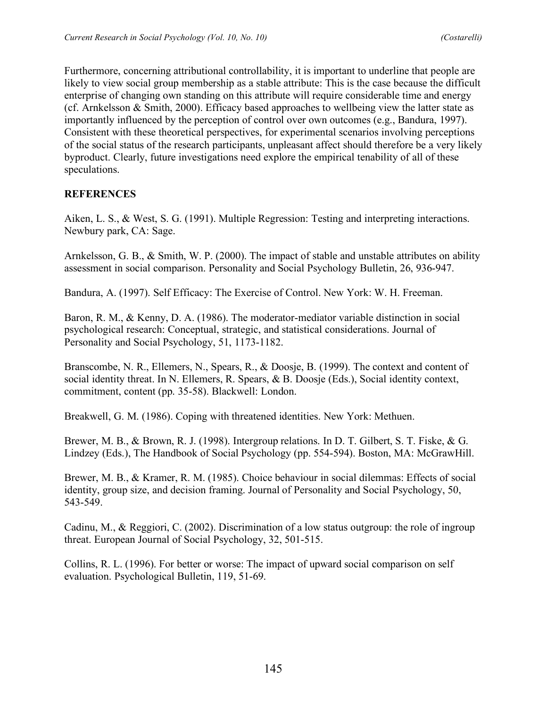Furthermore, concerning attributional controllability, it is important to underline that people are likely to view social group membership as a stable attribute: This is the case because the difficult enterprise of changing own standing on this attribute will require considerable time and energy (cf. Arnkelsson & Smith, 2000). Efficacy based approaches to wellbeing view the latter state as importantly influenced by the perception of control over own outcomes (e.g., Bandura, 1997). Consistent with these theoretical perspectives, for experimental scenarios involving perceptions of the social status of the research participants, unpleasant affect should therefore be a very likely byproduct. Clearly, future investigations need explore the empirical tenability of all of these speculations.

### **REFERENCES**

Aiken, L. S., & West, S. G. (1991). Multiple Regression: Testing and interpreting interactions. Newbury park, CA: Sage.

Arnkelsson, G. B., & Smith, W. P. (2000). The impact of stable and unstable attributes on ability assessment in social comparison. Personality and Social Psychology Bulletin, 26, 936-947.

Bandura, A. (1997). Self Efficacy: The Exercise of Control. New York: W. H. Freeman.

Baron, R. M., & Kenny, D. A. (1986). The moderator-mediator variable distinction in social psychological research: Conceptual, strategic, and statistical considerations. Journal of Personality and Social Psychology, 51, 1173-1182.

Branscombe, N. R., Ellemers, N., Spears, R., & Doosje, B. (1999). The context and content of social identity threat. In N. Ellemers, R. Spears, & B. Doosje (Eds.), Social identity context, commitment, content (pp. 35-58). Blackwell: London.

Breakwell, G. M. (1986). Coping with threatened identities. New York: Methuen.

Brewer, M. B., & Brown, R. J. (1998). Intergroup relations. In D. T. Gilbert, S. T. Fiske, & G. Lindzey (Eds.), The Handbook of Social Psychology (pp. 554-594). Boston, MA: McGrawHill.

Brewer, M. B., & Kramer, R. M. (1985). Choice behaviour in social dilemmas: Effects of social identity, group size, and decision framing. Journal of Personality and Social Psychology, 50, 543-549.

Cadinu, M., & Reggiori, C. (2002). Discrimination of a low status outgroup: the role of ingroup threat. European Journal of Social Psychology, 32, 501-515.

Collins, R. L. (1996). For better or worse: The impact of upward social comparison on self evaluation. Psychological Bulletin, 119, 51-69.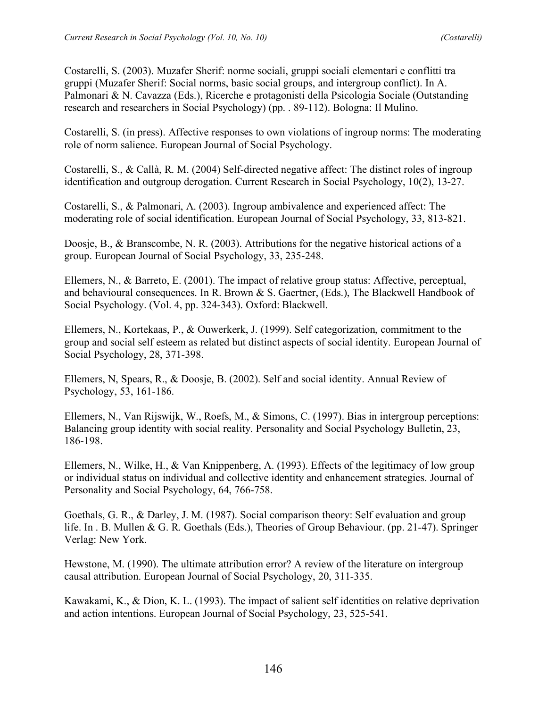Costarelli, S. (2003). Muzafer Sherif: norme sociali, gruppi sociali elementari e conflitti tra gruppi (Muzafer Sherif: Social norms, basic social groups, and intergroup conflict). In A. Palmonari & N. Cavazza (Eds.), Ricerche e protagonisti della Psicologia Sociale (Outstanding research and researchers in Social Psychology) (pp. . 89-112). Bologna: Il Mulino.

Costarelli, S. (in press). Affective responses to own violations of ingroup norms: The moderating role of norm salience. European Journal of Social Psychology.

Costarelli, S., & Callà, R. M. (2004) Self-directed negative affect: The distinct roles of ingroup identification and outgroup derogation. Current Research in Social Psychology, 10(2), 13-27.

Costarelli, S., & Palmonari, A. (2003). Ingroup ambivalence and experienced affect: The moderating role of social identification. European Journal of Social Psychology, 33, 813-821.

Doosje, B., & Branscombe, N. R. (2003). Attributions for the negative historical actions of a group. European Journal of Social Psychology, 33, 235-248.

Ellemers, N., & Barreto, E. (2001). The impact of relative group status: Affective, perceptual, and behavioural consequences. In R. Brown & S. Gaertner, (Eds.), The Blackwell Handbook of Social Psychology. (Vol. 4, pp. 324-343). Oxford: Blackwell.

Ellemers, N., Kortekaas, P., & Ouwerkerk, J. (1999). Self categorization, commitment to the group and social self esteem as related but distinct aspects of social identity. European Journal of Social Psychology, 28, 371-398.

Ellemers, N, Spears, R., & Doosje, B. (2002). Self and social identity. Annual Review of Psychology, 53, 161-186.

Ellemers, N., Van Rijswijk, W., Roefs, M., & Simons, C. (1997). Bias in intergroup perceptions: Balancing group identity with social reality. Personality and Social Psychology Bulletin, 23, 186-198.

Ellemers, N., Wilke, H., & Van Knippenberg, A. (1993). Effects of the legitimacy of low group or individual status on individual and collective identity and enhancement strategies. Journal of Personality and Social Psychology, 64, 766-758.

Goethals, G. R., & Darley, J. M. (1987). Social comparison theory: Self evaluation and group life. In . B. Mullen & G. R. Goethals (Eds.), Theories of Group Behaviour. (pp. 21-47). Springer Verlag: New York.

Hewstone, M. (1990). The ultimate attribution error? A review of the literature on intergroup causal attribution. European Journal of Social Psychology, 20, 311-335.

Kawakami, K., & Dion, K. L. (1993). The impact of salient self identities on relative deprivation and action intentions. European Journal of Social Psychology, 23, 525-541.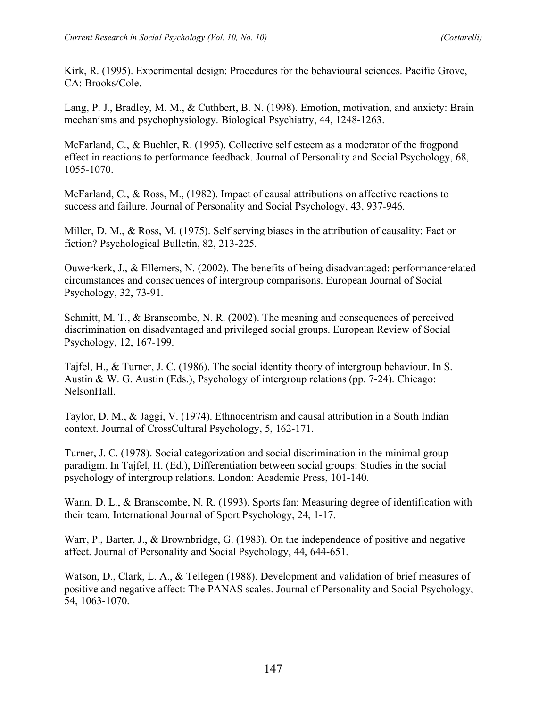Kirk, R. (1995). Experimental design: Procedures for the behavioural sciences. Pacific Grove, CA: Brooks/Cole.

Lang, P. J., Bradley, M. M., & Cuthbert, B. N. (1998). Emotion, motivation, and anxiety: Brain mechanisms and psychophysiology. Biological Psychiatry, 44, 1248-1263.

McFarland, C., & Buehler, R. (1995). Collective self esteem as a moderator of the frogpond effect in reactions to performance feedback. Journal of Personality and Social Psychology, 68, 1055-1070.

McFarland, C., & Ross, M., (1982). Impact of causal attributions on affective reactions to success and failure. Journal of Personality and Social Psychology, 43, 937-946.

Miller, D. M., & Ross, M. (1975). Self serving biases in the attribution of causality: Fact or fiction? Psychological Bulletin, 82, 213-225.

Ouwerkerk, J., & Ellemers, N. (2002). The benefits of being disadvantaged: performancerelated circumstances and consequences of intergroup comparisons. European Journal of Social Psychology, 32, 73-91.

Schmitt, M. T., & Branscombe, N. R. (2002). The meaning and consequences of perceived discrimination on disadvantaged and privileged social groups. European Review of Social Psychology, 12, 167-199.

Tajfel, H., & Turner, J. C. (1986). The social identity theory of intergroup behaviour. In S. Austin & W. G. Austin (Eds.), Psychology of intergroup relations (pp. 7-24). Chicago: NelsonHall.

Taylor, D. M., & Jaggi, V. (1974). Ethnocentrism and causal attribution in a South Indian context. Journal of CrossCultural Psychology, 5, 162-171.

Turner, J. C. (1978). Social categorization and social discrimination in the minimal group paradigm. In Tajfel, H. (Ed.), Differentiation between social groups: Studies in the social psychology of intergroup relations. London: Academic Press, 101-140.

Wann, D. L., & Branscombe, N. R. (1993). Sports fan: Measuring degree of identification with their team. International Journal of Sport Psychology, 24, 1-17.

Warr, P., Barter, J., & Brownbridge, G. (1983). On the independence of positive and negative affect. Journal of Personality and Social Psychology, 44, 644-651.

Watson, D., Clark, L. A., & Tellegen (1988). Development and validation of brief measures of positive and negative affect: The PANAS scales. Journal of Personality and Social Psychology, 54, 1063-1070.